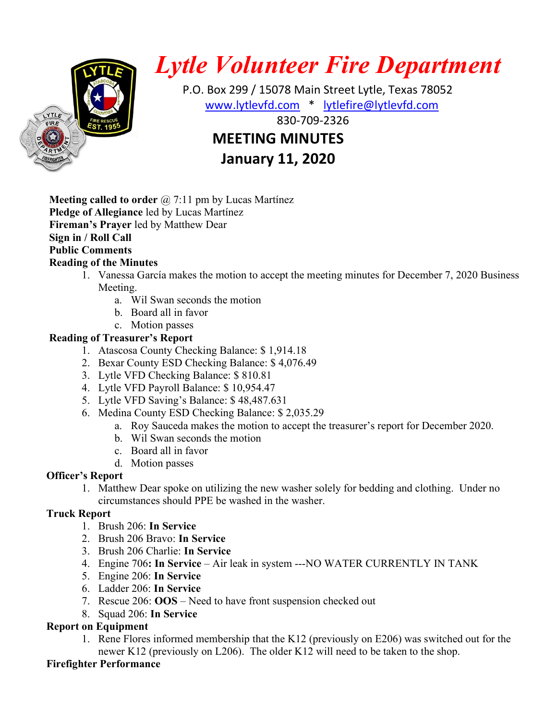

# Lytle Volunteer Fire Department

 P.O. Box 299 / 15078 Main Street Lytle, Texas 78052 www.lytlevfd.com \* lytlefire@lytlevfd.com 830-709-2326 MEETING MINUTES

January 11, 2020

**Meeting called to order**  $\omega$  7:11 pm by Lucas Martínez Pledge of Allegiance led by Lucas Martínez Fireman's Prayer led by Matthew Dear Sign in / Roll Call Public Comments Reading of the Minutes

- 1. Vanessa García makes the motion to accept the meeting minutes for December 7, 2020 Business Meeting.
	- a. Wil Swan seconds the motion
	- b. Board all in favor
	- c. Motion passes

## Reading of Treasurer's Report

- 1. Atascosa County Checking Balance: \$ 1,914.18
- 2. Bexar County ESD Checking Balance: \$ 4,076.49
- 3. Lytle VFD Checking Balance: \$ 810.81
- 4. Lytle VFD Payroll Balance: \$ 10,954.47
- 5. Lytle VFD Saving's Balance: \$ 48,487.631
- 6. Medina County ESD Checking Balance: \$ 2,035.29
	- a. Roy Sauceda makes the motion to accept the treasurer's report for December 2020.
	- b. Wil Swan seconds the motion
	- c. Board all in favor
	- d. Motion passes

## Officer's Report

1. Matthew Dear spoke on utilizing the new washer solely for bedding and clothing. Under no circumstances should PPE be washed in the washer.

## Truck Report

- 1. Brush 206: In Service
- 2. Brush 206 Bravo: In Service
- 3. Brush 206 Charlie: In Service
- 4. Engine 706: In Service Air leak in system ---NO WATER CURRENTLY IN TANK
- 5. Engine 206: In Service
- 6. Ladder 206: In Service
- 7. Rescue 206: OOS Need to have front suspension checked out
- 8. Squad 206: In Service

## Report on Equipment

1. Rene Flores informed membership that the K12 (previously on E206) was switched out for the newer K12 (previously on L206). The older K12 will need to be taken to the shop.

## Firefighter Performance